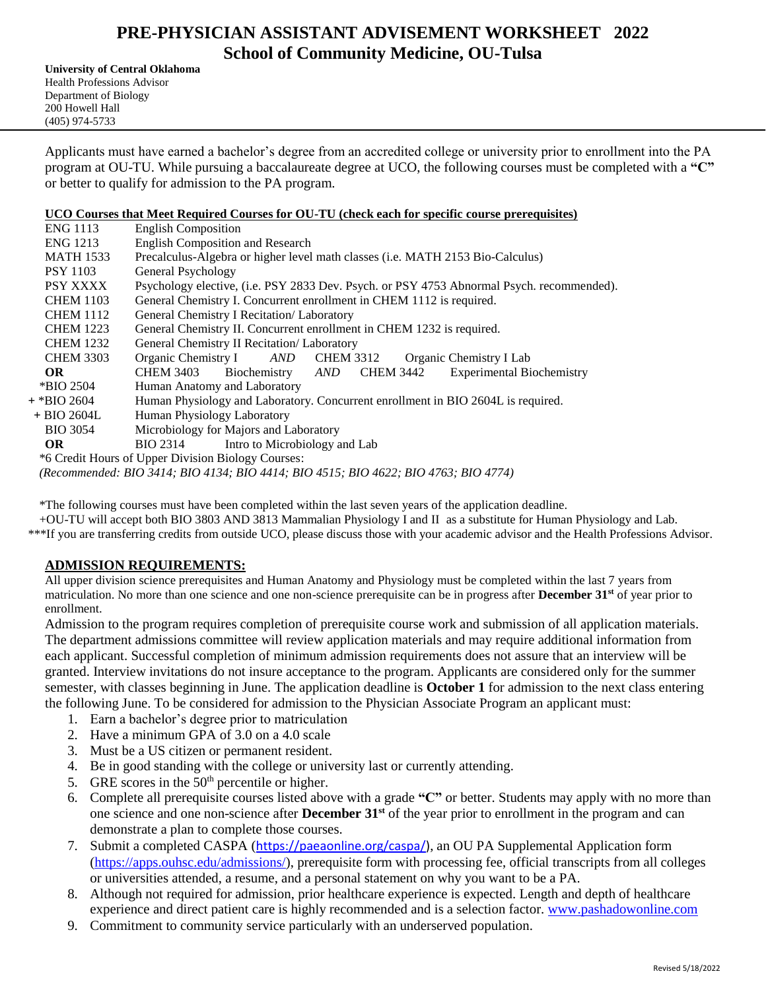# **PRE-PHYSICIAN ASSISTANT ADVISEMENT WORKSHEET 2022 School of Community Medicine, OU-Tulsa**

**University of Central Oklahoma** Health Professions Advisor Department of Biology 200 Howell Hall (405) 974-5733

Applicants must have earned a bachelor's degree from an accredited college or university prior to enrollment into the PA program at OU-TU. While pursuing a baccalaureate degree at UCO, the following courses must be completed with a **"C"** or better to qualify for admission to the PA program.

### **UCO Courses that Meet Required Courses for OU-TU (check each for specific course prerequisites)**

| <b>ENG 1113</b>  | <b>English Composition</b>                                                                |
|------------------|-------------------------------------------------------------------------------------------|
| <b>ENG 1213</b>  | <b>English Composition and Research</b>                                                   |
| <b>MATH 1533</b> | Precalculus-Algebra or higher level math classes (i.e. MATH 2153 Bio-Calculus)            |
| <b>PSY 1103</b>  | General Psychology                                                                        |
| <b>PSY XXXX</b>  | Psychology elective, (i.e. PSY 2833 Dev. Psych. or PSY 4753 Abnormal Psych. recommended). |
| <b>CHEM 1103</b> | General Chemistry I. Concurrent enrollment in CHEM 1112 is required.                      |
| <b>CHEM 1112</b> | General Chemistry I Recitation/ Laboratory                                                |
| <b>CHEM 1223</b> | General Chemistry II. Concurrent enrollment in CHEM 1232 is required.                     |
| <b>CHEM 1232</b> | General Chemistry II Recitation/ Laboratory                                               |
| <b>CHEM 3303</b> | Organic Chemistry I<br>AND CHEM 3312<br>Organic Chemistry I Lab                           |
| OR.              | Biochemistry AND CHEM 3442<br><b>Experimental Biochemistry</b><br><b>CHEM 3403</b>        |
| *BIO 2504        | Human Anatomy and Laboratory                                                              |
| + *BIO 2604      | Human Physiology and Laboratory. Concurrent enrollment in BIO 2604L is required.          |
| $+$ BIO 2604L    | Human Physiology Laboratory                                                               |
| <b>BIO 3054</b>  | Microbiology for Majors and Laboratory                                                    |
| OR.              | BIO 2314 Intro to Microbiology and Lab                                                    |
|                  | *6 Credit Hours of Upper Division Biology Courses:                                        |
|                  | (Recommended: BIO 3414; BIO 4134; BIO 4414; BIO 4515; BIO 4622; BIO 4763; BIO 4774)       |

\*The following courses must have been completed within the last seven years of the application deadline.

+OU-TU will accept both BIO 3803 AND 3813 Mammalian Physiology I and II as a substitute for Human Physiology and Lab.

\*\*\*If you are transferring credits from outside UCO, please discuss those with your academic advisor and the Health Professions Advisor.

## **ADMISSION REQUIREMENTS:**

All upper division science prerequisites and Human Anatomy and Physiology must be completed within the last 7 years from matriculation. No more than one science and one non-science prerequisite can be in progress after **December 31st** of year prior to enrollment.

Admission to the program requires completion of prerequisite course work and submission of all application materials. The department admissions committee will review application materials and may require additional information from each applicant. Successful completion of minimum admission requirements does not assure that an interview will be granted. Interview invitations do not insure acceptance to the program. Applicants are considered only for the summer semester, with classes beginning in June. The application deadline is **October 1** for admission to the next class entering the following June. To be considered for admission to the Physician Associate Program an applicant must:

- 1. Earn a bachelor's degree prior to matriculation
- 2. Have a minimum GPA of 3.0 on a 4.0 scale
- 3. Must be a US citizen or permanent resident.
- 4. Be in good standing with the college or university last or currently attending.
- 5. GRE scores in the  $50<sup>th</sup>$  percentile or higher.
- 6. Complete all prerequisite courses listed above with a grade **"C"** or better. Students may apply with no more than one science and one non-science after **December 31st** of the year prior to enrollment in the program and can demonstrate a plan to complete those courses.
- 7. Submit a completed CASPA ([https://paeaonline.org/caspa/\)](https://paeaonline.org/caspa/), an OU PA Supplemental Application form [\(https://apps.ouhsc.edu/admissions/\)](https://apps.ouhsc.edu/admissions/), prerequisite form with processing fee, official transcripts from all colleges or universities attended, a resume, and a personal statement on why you want to be a PA.
- 8. Although not required for admission, prior healthcare experience is expected. Length and depth of healthcare experience and direct patient care is highly recommended and is a selection factor. [www.pashadowonline.com](http://www.pashadowonline.com/)
- 9. Commitment to community service particularly with an underserved population.